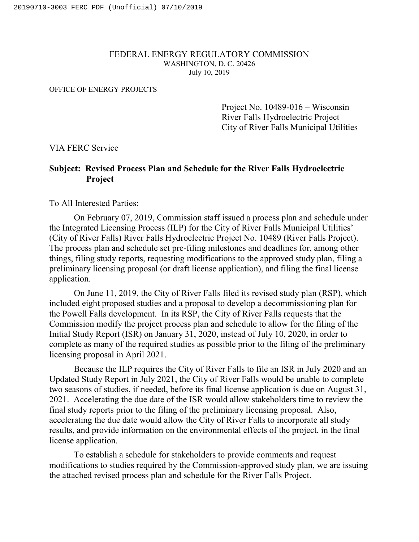## FEDERAL ENERGY REGULATORY COMMISSION WASHINGTON, D. C. 20426 July 10, 2019

## OFFICE OF ENERGY PROJECTS

Project No. 10489-016 – Wisconsin River Falls Hydroelectric Project City of River Falls Municipal Utilities

VIA FERC Service

## **Subject: Revised Process Plan and Schedule for the River Falls Hydroelectric Project**

To All Interested Parties:

On February 07, 2019, Commission staff issued a process plan and schedule under the Integrated Licensing Process (ILP) for the City of River Falls Municipal Utilities' (City of River Falls) River Falls Hydroelectric Project No. 10489 (River Falls Project). The process plan and schedule set pre-filing milestones and deadlines for, among other things, filing study reports, requesting modifications to the approved study plan, filing a preliminary licensing proposal (or draft license application), and filing the final license application.

On June 11, 2019, the City of River Falls filed its revised study plan (RSP), which included eight proposed studies and a proposal to develop a decommissioning plan for the Powell Falls development. In its RSP, the City of River Falls requests that the Commission modify the project process plan and schedule to allow for the filing of the Initial Study Report (ISR) on January 31, 2020, instead of July 10, 2020, in order to complete as many of the required studies as possible prior to the filing of the preliminary licensing proposal in April 2021.

Because the ILP requires the City of River Falls to file an ISR in July 2020 and an Updated Study Report in July 2021, the City of River Falls would be unable to complete two seasons of studies, if needed, before its final license application is due on August 31, 2021. Accelerating the due date of the ISR would allow stakeholders time to review the final study reports prior to the filing of the preliminary licensing proposal. Also, accelerating the due date would allow the City of River Falls to incorporate all study results, and provide information on the environmental effects of the project, in the final license application.

To establish a schedule for stakeholders to provide comments and request modifications to studies required by the Commission-approved study plan, we are issuing the attached revised process plan and schedule for the River Falls Project.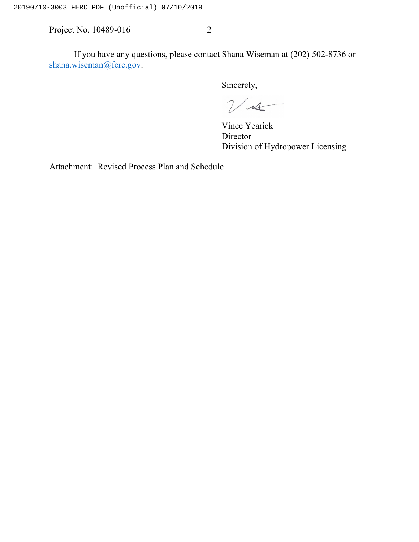Project No. 10489-016 2

If you have any questions, please contact Shana Wiseman at (202) 502-8736 or [shana.wiseman@ferc.gov.](mailto:shana.wiseman@ferc.gov)

Sincerely,

 $\nu$ 

Vince Yearick Director Division of Hydropower Licensing

Attachment: Revised Process Plan and Schedule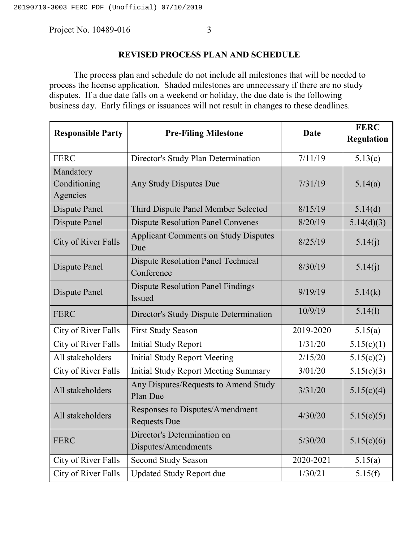Project No. 10489-016 3

## **REVISED PROCESS PLAN AND SCHEDULE**

The process plan and schedule do not include all milestones that will be needed to process the license application. Shaded milestones are unnecessary if there are no study disputes. If a due date falls on a weekend or holiday, the due date is the following business day. Early filings or issuances will not result in changes to these deadlines.

| <b>Responsible Party</b>              | <b>Pre-Filing Milestone</b>                               | <b>Date</b> | <b>FERC</b><br><b>Regulation</b> |
|---------------------------------------|-----------------------------------------------------------|-------------|----------------------------------|
| <b>FERC</b>                           | Director's Study Plan Determination                       | 7/11/19     | 5.13(c)                          |
| Mandatory<br>Conditioning<br>Agencies | Any Study Disputes Due                                    | 7/31/19     | 5.14(a)                          |
| Dispute Panel                         | Third Dispute Panel Member Selected                       | 8/15/19     | 5.14(d)                          |
| Dispute Panel                         | <b>Dispute Resolution Panel Convenes</b>                  | 8/20/19     | 5.14(d)(3)                       |
| City of River Falls                   | <b>Applicant Comments on Study Disputes</b><br>Due        | 8/25/19     | 5.14(i)                          |
| Dispute Panel                         | <b>Dispute Resolution Panel Technical</b><br>Conference   | 8/30/19     | 5.14(j)                          |
| Dispute Panel                         | <b>Dispute Resolution Panel Findings</b><br><b>Issued</b> | 9/19/19     | 5.14(k)                          |
| <b>FERC</b>                           | Director's Study Dispute Determination                    | 10/9/19     | 5.14(1)                          |
| City of River Falls                   | <b>First Study Season</b>                                 | 2019-2020   | 5.15(a)                          |
| City of River Falls                   | <b>Initial Study Report</b>                               | 1/31/20     | 5.15(c)(1)                       |
| All stakeholders                      | <b>Initial Study Report Meeting</b>                       | 2/15/20     | 5.15(c)(2)                       |
| City of River Falls                   | <b>Initial Study Report Meeting Summary</b>               | 3/01/20     | 5.15(c)(3)                       |
| All stakeholders                      | Any Disputes/Requests to Amend Study<br>Plan Due          | 3/31/20     | 5.15(c)(4)                       |
| All stakeholders                      | Responses to Disputes/Amendment<br><b>Requests Due</b>    | 4/30/20     | 5.15(c)(5)                       |
| <b>FERC</b>                           | Director's Determination on<br>Disputes/Amendments        | 5/30/20     | 5.15(c)(6)                       |
| City of River Falls                   | <b>Second Study Season</b>                                | 2020-2021   | 5.15(a)                          |
| City of River Falls                   | <b>Updated Study Report due</b>                           | 1/30/21     | 5.15(f)                          |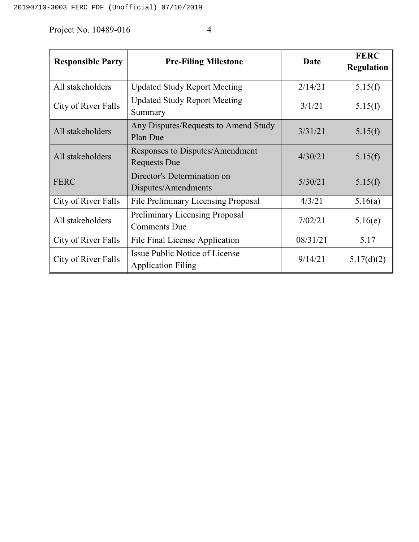Project No. 10489-016 4

| <b>Responsible Party</b> | <b>Pre-Filing Milestone</b>                                        | <b>Date</b> | <b>FERC</b><br><b>Regulation</b> |
|--------------------------|--------------------------------------------------------------------|-------------|----------------------------------|
| All stakeholders         | <b>Updated Study Report Meeting</b>                                | 2/14/21     | 5.15(f)                          |
| City of River Falls      | <b>Updated Study Report Meeting</b><br>Summary                     | 3/1/21      | 5.15(f)                          |
| All stakeholders         | Any Disputes/Requests to Amend Study<br>Plan Due                   | 3/31/21     | 5.15(f)                          |
| All stakeholders         | Responses to Disputes/Amendment<br><b>Requests Due</b>             | 4/30/21     | 5.15(f)                          |
| <b>FERC</b>              | Director's Determination on<br>Disputes/Amendments                 | 5/30/21     | 5.15(f)                          |
| City of River Falls      | <b>File Preliminary Licensing Proposal</b>                         | 4/3/21      | 5.16(a)                          |
| All stakeholders         | <b>Preliminary Licensing Proposal</b><br><b>Comments Due</b>       | 7/02/21     | 5.16(e)                          |
| City of River Falls      | File Final License Application                                     | 08/31/21    | 5.17                             |
| City of River Falls      | <b>Issue Public Notice of License</b><br><b>Application Filing</b> | 9/14/21     | 5.17(d)(2)                       |